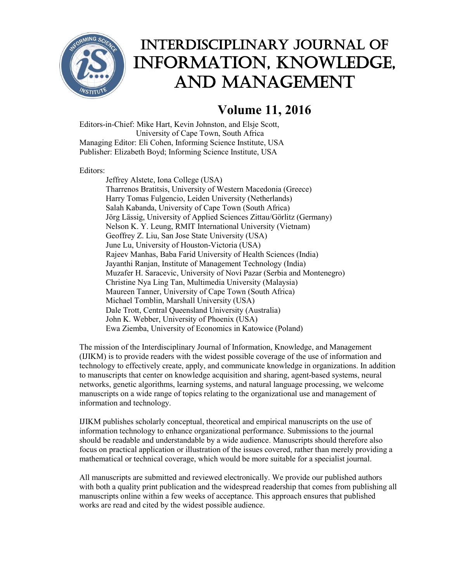

## Interdisciplinary Journal of Information, Knowledge, and Management

## **Volume 11, 2016**

Editors-in-Chief: Mike Hart, Kevin Johnston, and Elsje Scott, University of Cape Town, South Africa Managing Editor: Eli Cohen, Informing Science Institute, USA Publisher: Elizabeth Boyd; Informing Science Institute, USA

Editors:

Jeffrey Alstete, Iona College (USA) Tharrenos Bratitsis, University of Western Macedonia (Greece) Harry Tomas Fulgencio, Leiden University (Netherlands) Salah Kabanda, University of Cape Town (South Africa) Jörg Lässig, University of Applied Sciences Zittau/Görlitz (Germany) Nelson K. Y. Leung, RMIT International University (Vietnam) Geoffrey Z. Liu, San Jose State University (USA) June Lu, University of Houston-Victoria (USA) Rajeev Manhas, Baba Farid University of Health Sciences (India) Jayanthi Ranjan, Institute of Management Technology (India) Muzafer H. Saracevic, University of Novi Pazar (Serbia and Montenegro) Christine Nya Ling Tan, Multimedia University (Malaysia) Maureen Tanner, University of Cape Town (South Africa) Michael Tomblin, Marshall University (USA) Dale Trott, Central Queensland University (Australia) John K. Webber, University of Phoenix (USA) Ewa Ziemba, University of Economics in Katowice (Poland)

The mission of the Interdisciplinary Journal of Information, Knowledge, and Management (IJIKM) is to provide readers with the widest possible coverage of the use of information and technology to effectively create, apply, and communicate knowledge in organizations. In addition to manuscripts that center on knowledge acquisition and sharing, agent-based systems, neural networks, genetic algorithms, learning systems, and natural language processing, we welcome manuscripts on a wide range of topics relating to the organizational use and management of information and technology.

IJIKM publishes scholarly conceptual, theoretical and empirical manuscripts on the use of information technology to enhance organizational performance. Submissions to the journal should be readable and understandable by a wide audience. Manuscripts should therefore also focus on practical application or illustration of the issues covered, rather than merely providing a mathematical or technical coverage, which would be more suitable for a specialist journal.

All manuscripts are submitted and reviewed electronically. We provide our published authors with both a quality print publication and the widespread readership that comes from publishing all manuscripts online within a few weeks of acceptance. This approach ensures that published works are read and cited by the widest possible audience.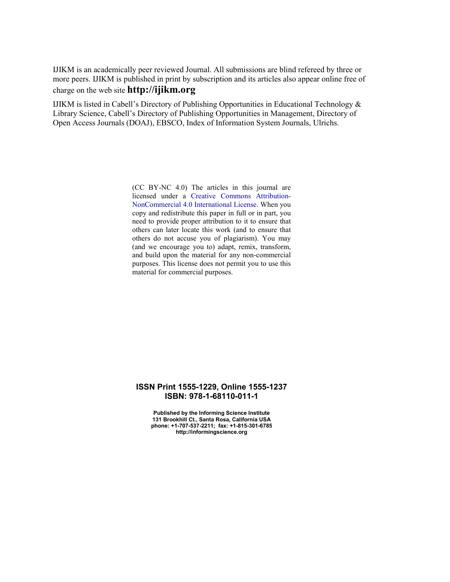IJIKM is an academically peer reviewed Journal. All submissions are blind refereed by three or more peers. IJIKM is published in print by subscription and its articles also appear online free of charge on the web site **http://ijikm.org**

IJIKM is listed in Cabell's Directory of Publishing Opportunities in Educational Technology & Library Science, Cabell's Directory of Publishing Opportunities in Management, Directory of Open Access Journals (DOAJ), EBSCO, Index of Information System Journals, Ulrichs.

> (CC BY-NC 4.0) The articles in this journal are licensed under a [Creative Commons Attribution-](https://creativecommons.org/licenses/by-nc/4.0/)[NonCommercial 4.0 International License.](https://creativecommons.org/licenses/by-nc/4.0/) When you copy and redistribute this paper in full or in part, you need to provide proper attribution to it to ensure that others can later locate this work (and to ensure that others do not accuse you of plagiarism). You may (and we encourage you to) adapt, remix, transform, and build upon the material for any non-commercial purposes. This license does not permit you to use this material for commercial purposes.

## **ISSN Print 1555-1229, Online 1555-1237 ISBN: 978-1-68110-011-1**

 **Published by the Informing Science Institute 131 Brookhill Ct., Santa Rosa, California USA phone: +1-707-537-2211; fax: +1-815-301-6785 http://informingscience.org**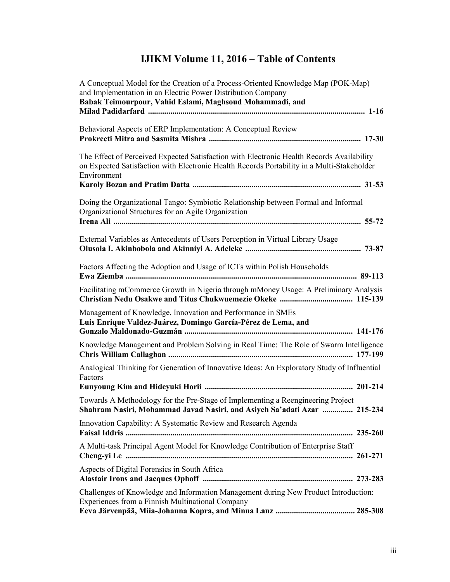## **IJIKM Volume 11, 2016 – Table of Contents**

| A Conceptual Model for the Creation of a Process-Oriented Knowledge Map (POK-Map)<br>and Implementation in an Electric Power Distribution Company                                                      |
|--------------------------------------------------------------------------------------------------------------------------------------------------------------------------------------------------------|
| Babak Teimourpour, Vahid Eslami, Maghsoud Mohammadi, and                                                                                                                                               |
| Behavioral Aspects of ERP Implementation: A Conceptual Review                                                                                                                                          |
| The Effect of Perceived Expected Satisfaction with Electronic Health Records Availability<br>on Expected Satisfaction with Electronic Health Records Portability in a Multi-Stakeholder<br>Environment |
| Doing the Organizational Tango: Symbiotic Relationship between Formal and Informal<br>Organizational Structures for an Agile Organization                                                              |
| External Variables as Antecedents of Users Perception in Virtual Library Usage                                                                                                                         |
| Factors Affecting the Adoption and Usage of ICTs within Polish Households                                                                                                                              |
| Facilitating mCommerce Growth in Nigeria through mMoney Usage: A Preliminary Analysis                                                                                                                  |
| Management of Knowledge, Innovation and Performance in SMEs<br>Luis Enrique Valdez-Juárez, Domingo García-Pérez de Lema, and                                                                           |
| Knowledge Management and Problem Solving in Real Time: The Role of Swarm Intelligence                                                                                                                  |
| Analogical Thinking for Generation of Innovative Ideas: An Exploratory Study of Influential<br>Factors                                                                                                 |
|                                                                                                                                                                                                        |
| Towards A Methodology for the Pre-Stage of Implementing a Reengineering Project<br>Shahram Nasiri, Mohammad Javad Nasiri, and Asiyeh Sa'adati Azar  215-234                                            |
| Innovation Capability: A Systematic Review and Research Agenda                                                                                                                                         |
| A Multi-task Principal Agent Model for Knowledge Contribution of Enterprise Staff                                                                                                                      |
| Aspects of Digital Forensics in South Africa                                                                                                                                                           |
| Challenges of Knowledge and Information Management during New Product Introduction:<br>Experiences from a Finnish Multinational Company                                                                |